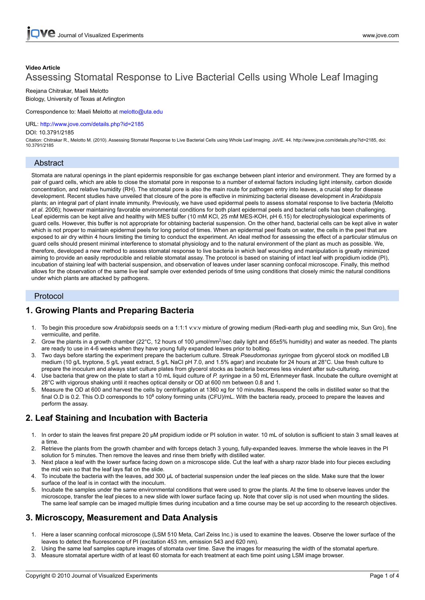# **Video Article** Assessing Stomatal Response to Live Bacterial Cells using Whole Leaf Imaging

Reejana Chitrakar, Maeli Melotto Biology, University of Texas at Arlington

Correspondence to: Maeli Melotto at melotto@uta.edu

URL: <http://www.jove.com/details.php?id=2185>

#### DOI: 10.3791/2185

Citation: Chitrakar R., Melotto M. (2010). Assessing Stomatal Response to Live Bacterial Cells using Whole Leaf Imaging. JoVE. 44. http://www.jove.com/details.php?id=2185, doi: 10.3791/2185

### Abstract

Stomata are natural openings in the plant epidermis responsible for gas exchange between plant interior and environment. They are formed by a pair of guard cells, which are able to close the stomatal pore in response to a number of external factors including light intensity, carbon dioxide concentration, and relative humidity (RH). The stomatal pore is also the main route for pathogen entry into leaves, a crucial step for disease development. Recent studies have unveiled that closure of the pore is effective in minimizing bacterial disease development in *Arabidopsis* plants; an integral part of plant innate immunity. Previously, we have used epidermal peels to assess stomatal response to live bacteria (Melotto *et al.* 2006); however maintaining favorable environmental conditions for both plant epidermal peels and bacterial cells has been challenging. Leaf epidermis can be kept alive and healthy with MES buffer (10 mM KCl, 25 mM MES-KOH, pH 6.15) for electrophysiological experiments of guard cells. However, this buffer is not appropriate for obtaining bacterial suspension. On the other hand, bacterial cells can be kept alive in water which is not proper to maintain epidermal peels for long period of times. When an epidermal peel floats on water, the cells in the peel that are exposed to air dry within 4 hours limiting the timing to conduct the experiment. An ideal method for assessing the effect of a particular stimulus on guard cells should present minimal interference to stomatal physiology and to the natural environment of the plant as much as possible. We, therefore, developed a new method to assess stomatal response to live bacteria in which leaf wounding and manipulation is greatly minimized aiming to provide an easily reproducible and reliable stomatal assay. The protocol is based on staining of intact leaf with propidium iodide (PI), incubation of staining leaf with bacterial suspension, and observation of leaves under laser scanning confocal microscope. Finally, this method allows for the observation of the same live leaf sample over extended periods of time using conditions that closely mimic the natural conditions under which plants are attacked by pathogens.

### Protocol

# **1. Growing Plants and Preparing Bacteria**

- 1. To begin this procedure sow *Arabidopsis* seeds on a 1:1:1 v:v:v mixture of growing medium (Redi-earth plug and seedling mix, Sun Gro), fine vermiculite, and perlite.
- 2. Grow the plants in a growth chamber (22°C, 12 hours of 100  $\mu$ mol/mm<sup>2</sup>/sec daily light and 65±5% humidity) and water as needed. The plants are ready to use in 4-6 weeks when they have young fully expanded leaves prior to bolting.
- 3. Two days before starting the experiment prepare the bacterium culture. Streak *Pseudomonas syringae* from glycerol stock on modified LB medium (10 g/L tryptone, 5 g/L yeast extract, 5 g/L NaCl pH 7.0, and 1.5% agar) and incubate for 24 hours at 28°C. Use fresh culture to prepare the inoculum and always start culture plates from glycerol stocks as bacteria becomes less virulent after sub-culturing.
- 4. Use bacteria that grew on the plate to start a 10 mL liquid culture of *P. syringae* in a 50 mL Erlenmeyer flask. Incubate the culture overnight at 28°C with vigorous shaking until it reaches optical density or OD at 600 nm between 0.8 and 1.
- 5. Measure the OD at 600 and harvest the cells by centrifugation at 1360 xg for 10 minutes. Resuspend the cells in distilled water so that the final O.D is 0.2. This O.D corresponds to 10<sup>8</sup> colony forming units (CFU)/mL. With the bacteria ready, proceed to prepare the leaves and perform the assay.

# **2. Leaf Staining and Incubation with Bacteria**

- 1. In order to stain the leaves first prepare 20 μM propidium iodide or PI solution in water. 10 mL of solution is sufficient to stain 3 small leaves at a time.
- 2. Retrieve the plants from the growth chamber and with forceps detach 3 young, fully-expanded leaves. Immerse the whole leaves in the PI solution for 5 minutes. Then remove the leaves and rinse them briefly with distilled water.
- 3. Next place a leaf with the lower surface facing down on a microscope slide. Cut the leaf with a sharp razor blade into four pieces excluding the mid vein so that the leaf lays flat on the slide.
- 4. To incubate the bacteria with the leaves, add 300 μL of bacterial suspension under the leaf pieces on the slide. Make sure that the lower surface of the leaf is in contact with the inoculum.
- 5. Incubate the samples under the same environmental conditions that were used to grow the plants. At the time to observe leaves under the microscope, transfer the leaf pieces to a new slide with lower surface facing up. Note that cover slip is not used when mounting the slides. The same leaf sample can be imaged multiple times during incubation and a time course may be set up according to the research objectives.

# **3. Microscopy, Measurement and Data Analysis**

- 1. Here a laser scanning confocal microscope (LSM 510 Meta, Carl Zeiss Inc.) is used to examine the leaves. Observe the lower surface of the leaves to detect the fluorescence of PI (excitation 453 nm, emission 543 and 620 nm).
- 2. Using the same leaf samples capture images of stomata over time. Save the images for measuring the width of the stomatal aperture.
- 3. Measure stomatal aperture width of at least 60 stomata for each treatment at each time point using LSM image browser.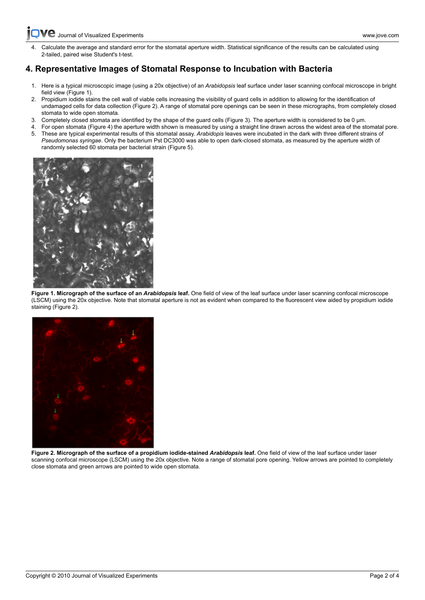**C** [Journal of Visualized Experiments www.jove.com](http://www.jove.com)

[4. Calcu](http://www.jove.com)late the average and standard error for the stomatal aperture width. Statistical significance of the results can be calculated using 2-tailed, paired wise Student's t-test.

### **4. Representative Images of Stomatal Response to Incubation with Bacteria**

- 1. Here is a typical microscopic image (using a 20x objective) of an *Arabidopsis* leaf surface under laser scanning confocal microscope in bright field view (Figure 1).
- 2. Propidium iodide stains the cell wall of viable cells increasing the visibility of guard cells in addition to allowing for the identification of undamaged cells for data collection (Figure 2). A range of stomatal pore openings can be seen in these micrographs, from completely closed stomata to wide open stomata.
- 3. Completely closed stomata are identified by the shape of the guard cells (Figure 3). The aperture width is considered to be 0 μm.
- 4. For open stomata (Figure 4) the aperture width shown is measured by using a straight line drawn across the widest area of the stomatal pore. 5. These are typical experimental results of this stomatal assay. *Arabidopis* leaves were incubated in the dark with three different strains of
- *Pseudomonas syringae*. Only the bacterium Pst DC3000 was able to open dark-closed stomata, as measured by the aperture width of randomly selected 60 stomata per bacterial strain (Figure 5).



**Figure 1. Micrograph of the surface of an** *Arabidopsis* **leaf.** One field of view of the leaf surface under laser scanning confocal microscope (LSCM) using the 20x objective. Note that stomatal aperture is not as evident when compared to the fluorescent view aided by propidium iodide staining (Figure 2).



**Figure 2. Micrograph of the surface of a propidium iodide-stained** *Arabidopsis* **leaf.** One field of view of the leaf surface under laser scanning confocal microscope (LSCM) using the 20x objective. Note a range of stomatal pore opening. Yellow arrows are pointed to completely close stomata and green arrows are pointed to wide open stomata.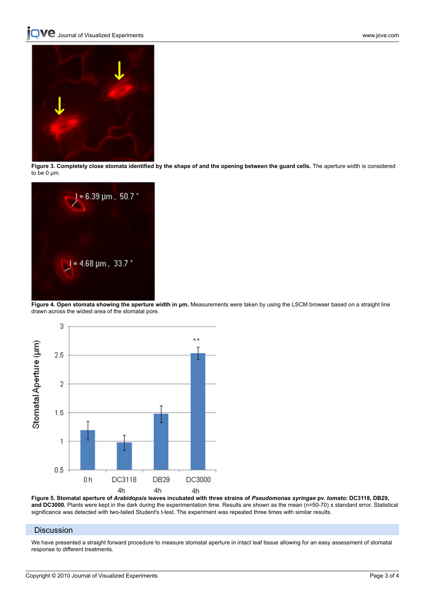**QVC** [Journal of Visualized Experiments www.jove.com](http://www.jove.com)



**Figure 3. Completely close stomata identified by the shape of and the opening between the guard cells.** The aperture width is considered to be 0 μm.



Figure 4. Open stomata showing the aperture width in um. Measurements were taken by using the LSCM browser based on a straight line drawn across the widest area of the stomatal pore.



**Figure 5. Stomatal aperture of** *Arabidopsis* **leaves incubated with three strains of** *Pseudomonas syringae* **pv.** *tomato***: DC3118, DB29, and DC3000.** Plants were kept in the dark during the experimentation time. Results are shown as the mean (n=50-70) ± standard error. Statistical significance was detected with two-tailed Student's t-test. The experiment was repeated three times with similar results.

#### **Discussion**

We have presented a straight forward procedure to measure stomatal aperture in intact leaf tissue allowing for an easy assessment of stomatal response to different treatments.